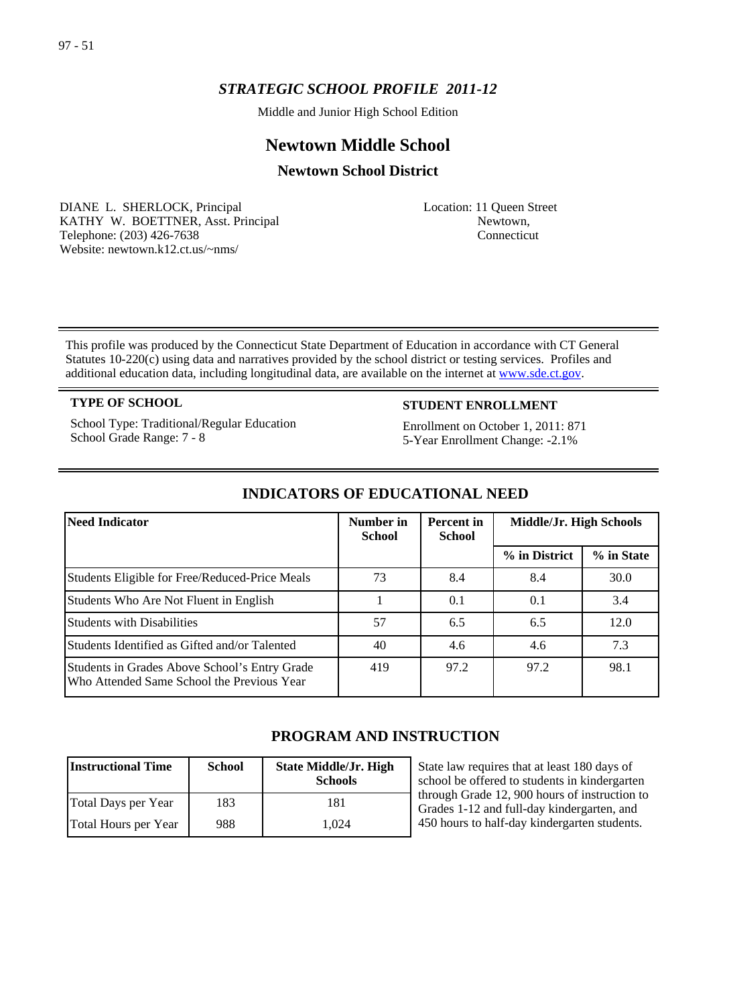# *STRATEGIC SCHOOL PROFILE 2011-12*

Middle and Junior High School Edition

# **Newtown Middle School**

# **Newtown School District**

DIANE L. SHERLOCK, Principal KATHY W. BOETTNER, Asst. Principal Telephone: (203) 426-7638 Website: newtown.k12.ct.us/~nms/

Location: 11 Queen Street Newtown, Connecticut

This profile was produced by the Connecticut State Department of Education in accordance with CT General Statutes 10-220(c) using data and narratives provided by the school district or testing services. Profiles and additional education data, including longitudinal data, are available on the internet at [www.sde.ct.gov.](http://www.sde.ct.gov/)

School Type: Traditional/Regular Education School Grade Range: 7 - 8

# **TYPE OF SCHOOL STUDENT ENROLLMENT**

Enrollment on October 1, 2011: 871 5-Year Enrollment Change: -2.1%

| Need Indicator                                                                              | Number in<br><b>School</b> | Percent in<br><b>School</b> | Middle/Jr. High Schools |            |
|---------------------------------------------------------------------------------------------|----------------------------|-----------------------------|-------------------------|------------|
|                                                                                             |                            |                             | % in District           | % in State |
| Students Eligible for Free/Reduced-Price Meals                                              | 73                         | 8.4                         | 8.4                     | 30.0       |
| Students Who Are Not Fluent in English                                                      |                            | 0.1                         | 0.1                     | 3.4        |
| <b>Students with Disabilities</b>                                                           | 57                         | 6.5                         | 6.5                     | 12.0       |
| Students Identified as Gifted and/or Talented                                               | 40                         | 4.6                         | 4.6                     | 7.3        |
| Students in Grades Above School's Entry Grade<br>Who Attended Same School the Previous Year | 419                        | 97.2                        | 97.2                    | 98.1       |

# **INDICATORS OF EDUCATIONAL NEED**

# **PROGRAM AND INSTRUCTION**

| <b>Instructional Time</b> | <b>School</b> | <b>State Middle/Jr. High</b><br><b>Schools</b> |
|---------------------------|---------------|------------------------------------------------|
| Total Days per Year       | 183           | 181                                            |
| Total Hours per Year      | 988           | 1.024                                          |

State law requires that at least 180 days of school be offered to students in kindergarten through Grade 12, 900 hours of instruction to Grades 1-12 and full-day kindergarten, and 450 hours to half-day kindergarten students.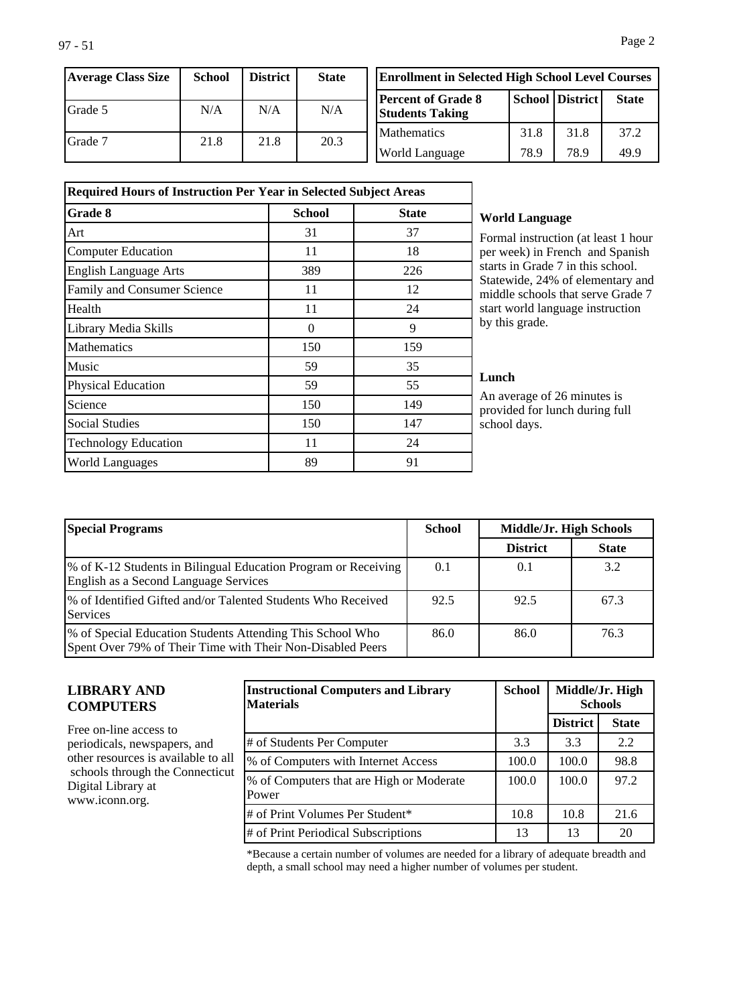| Average Class Size | School | <b>District</b> | <b>State</b> |
|--------------------|--------|-----------------|--------------|
| Grade 5            | N/A    | N/A             | N/A          |
| l Grade 7          | 21.8   | 21.8            | 20.3         |

| <b>Enrollment in Selected High School Level Courses</b> |      |                        |              |  |
|---------------------------------------------------------|------|------------------------|--------------|--|
| <b> Percent of Grade 8</b><br><b>Students Taking</b>    |      | <b>School District</b> | <b>State</b> |  |
| <b>Mathematics</b>                                      | 31.8 | 31.8                   | 37.2         |  |
| <b>World Language</b>                                   | 78.9 | 78.9                   | 49 9         |  |

| <b>Required Hours of Instruction Per Year in Selected Subject Areas</b> |               |              |  |  |
|-------------------------------------------------------------------------|---------------|--------------|--|--|
| Grade 8                                                                 | <b>School</b> | <b>State</b> |  |  |
| Art                                                                     | 31            | 37           |  |  |
| <b>Computer Education</b>                                               | 11            | 18           |  |  |
| <b>English Language Arts</b>                                            | 389           | 226          |  |  |
| Family and Consumer Science                                             | 11            | 12           |  |  |
| Health                                                                  | 11            | 24           |  |  |
| Library Media Skills                                                    | 0             | 9            |  |  |
| Mathematics                                                             | 150           | 159          |  |  |
| Music                                                                   | 59            | 35           |  |  |
| Physical Education                                                      | 59            | 55           |  |  |
| Science                                                                 | 150           | 149          |  |  |
| <b>Social Studies</b>                                                   | 150           | 147          |  |  |
| <b>Technology Education</b>                                             | 11            | 24           |  |  |
| <b>World Languages</b>                                                  | 89            | 91           |  |  |

## **World Language**

Formal instruction (at least 1 hour per week) in French and Spanish starts in Grade 7 in this school. Statewide, 24% of elementary and middle schools that serve Grade 7 start world language instruction by this grade.

## **Lunch**

An average of 26 minutes is provided for lunch during full school days.

| <b>Special Programs</b>                                                                                                 | <b>School</b> | Middle/Jr. High Schools |              |
|-------------------------------------------------------------------------------------------------------------------------|---------------|-------------------------|--------------|
|                                                                                                                         |               | <b>District</b>         | <b>State</b> |
| \% of K-12 Students in Bilingual Education Program or Receiving<br>English as a Second Language Services                | 0.1           | 0.1                     | 3.2          |
| 1% of Identified Gifted and/or Talented Students Who Received<br>Services                                               | 92.5          | 92.5                    | 67.3         |
| % of Special Education Students Attending This School Who<br>Spent Over 79% of Their Time with Their Non-Disabled Peers | 86.0          | 86.0                    | 76.3         |

# **LIBRARY AND COMPUTERS**

Free on-line access to periodicals, newspapers, and other resources is available to all schools through the Connecticut Digital Library at www.iconn.org.

| <b>Instructional Computers and Library</b><br><b>Materials</b> | <b>School</b> |                 | Middle/Jr. High<br><b>Schools</b> |
|----------------------------------------------------------------|---------------|-----------------|-----------------------------------|
|                                                                |               | <b>District</b> | <b>State</b>                      |
| # of Students Per Computer                                     | 3.3           | 3.3             | 2.2                               |
| % of Computers with Internet Access                            | 100.0         | 100.0           | 98.8                              |
| % of Computers that are High or Moderate<br>Power              | 100.0         | 100.0           | 97.2                              |
| # of Print Volumes Per Student*                                | 10.8          | 10.8            | 21.6                              |
| # of Print Periodical Subscriptions                            | 13            | 13              | 20                                |

\*Because a certain number of volumes are needed for a library of adequate breadth and depth, a small school may need a higher number of volumes per student.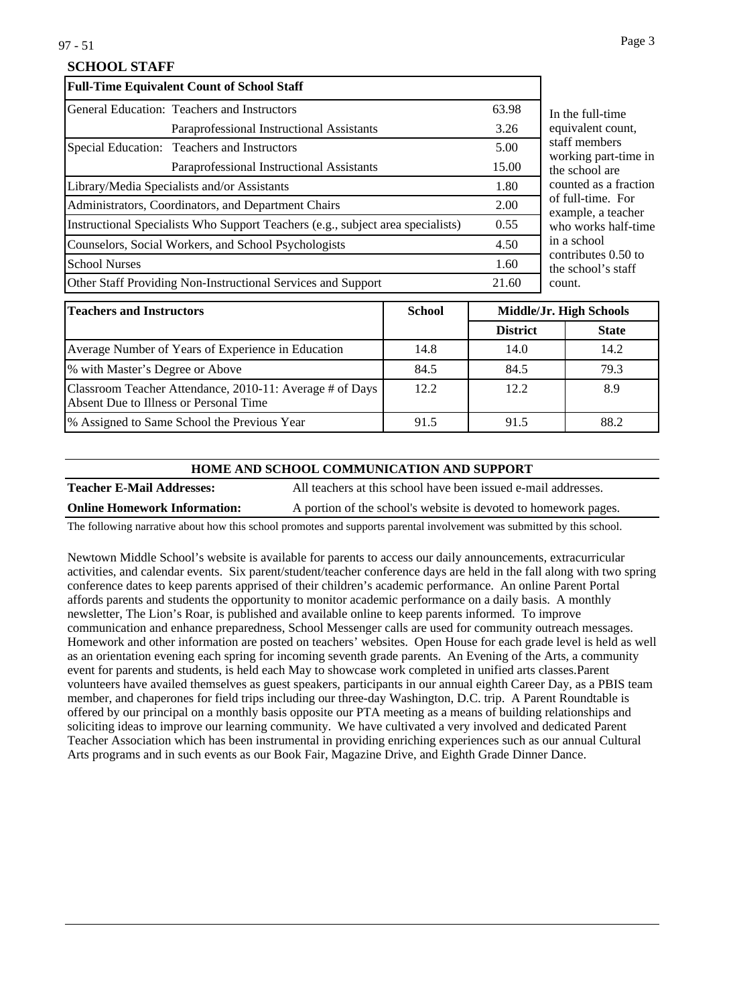# **SCHOOL STAFF**

| <b>Full-Time Equivalent Count of School Staff</b>                               |       |
|---------------------------------------------------------------------------------|-------|
| General Education: Teachers and Instructors                                     | 63.98 |
| Paraprofessional Instructional Assistants                                       | 3.26  |
| Special Education: Teachers and Instructors                                     | 5.00  |
| Paraprofessional Instructional Assistants                                       | 15.00 |
| Library/Media Specialists and/or Assistants                                     | 1.80  |
| Administrators, Coordinators, and Department Chairs                             | 2.00  |
| Instructional Specialists Who Support Teachers (e.g., subject area specialists) | 0.55  |
| Counselors, Social Workers, and School Psychologists                            | 4.50  |
| <b>School Nurses</b>                                                            | 1.60  |
| Other Staff Providing Non-Instructional Services and Support                    | 21.60 |

In full-time alent count. members ing part-time in hool are ed as a fraction ll-time. For ple, a teacher works half-time chool ibutes  $0.50$  to hool's staff count.

| <b>Teachers and Instructors</b>                                                                    | <b>School</b> | Middle/Jr. High Schools |              |
|----------------------------------------------------------------------------------------------------|---------------|-------------------------|--------------|
|                                                                                                    |               | <b>District</b>         | <b>State</b> |
| Average Number of Years of Experience in Education                                                 | 14.8          | 14.0                    | 14.2         |
| % with Master's Degree or Above                                                                    | 84.5          | 84.5                    | 79.3         |
| Classroom Teacher Attendance, 2010-11: Average # of Days<br>Absent Due to Illness or Personal Time | 12.2.         | 12.2                    | 8.9          |
| 1% Assigned to Same School the Previous Year                                                       | 91.5          | 91.5                    | 88.2         |

#### **HOME AND SCHOOL COMMUNICATION AND SUPPORT**

**Teacher E-Mail Addresses:** All teachers at this school have been issued e-mail addresses.

**Online Homework Information:** A portion of the school's website is devoted to homework pages.

The following narrative about how this school promotes and supports parental involvement was submitted by this school.

Newtown Middle School's website is available for parents to access our daily announcements, extracurricular activities, and calendar events. Six parent/student/teacher conference days are held in the fall along with two spring conference dates to keep parents apprised of their children's academic performance. An online Parent Portal affords parents and students the opportunity to monitor academic performance on a daily basis. A monthly newsletter, The Lion's Roar, is published and available online to keep parents informed. To improve communication and enhance preparedness, School Messenger calls are used for community outreach messages. Homework and other information are posted on teachers' websites. Open House for each grade level is held as well as an orientation evening each spring for incoming seventh grade parents. An Evening of the Arts, a community event for parents and students, is held each May to showcase work completed in unified arts classes.Parent volunteers have availed themselves as guest speakers, participants in our annual eighth Career Day, as a PBIS team member, and chaperones for field trips including our three-day Washington, D.C. trip. A Parent Roundtable is offered by our principal on a monthly basis opposite our PTA meeting as a means of building relationships and soliciting ideas to improve our learning community. We have cultivated a very involved and dedicated Parent Teacher Association which has been instrumental in providing enriching experiences such as our annual Cultural Arts programs and in such events as our Book Fair, Magazine Drive, and Eighth Grade Dinner Dance.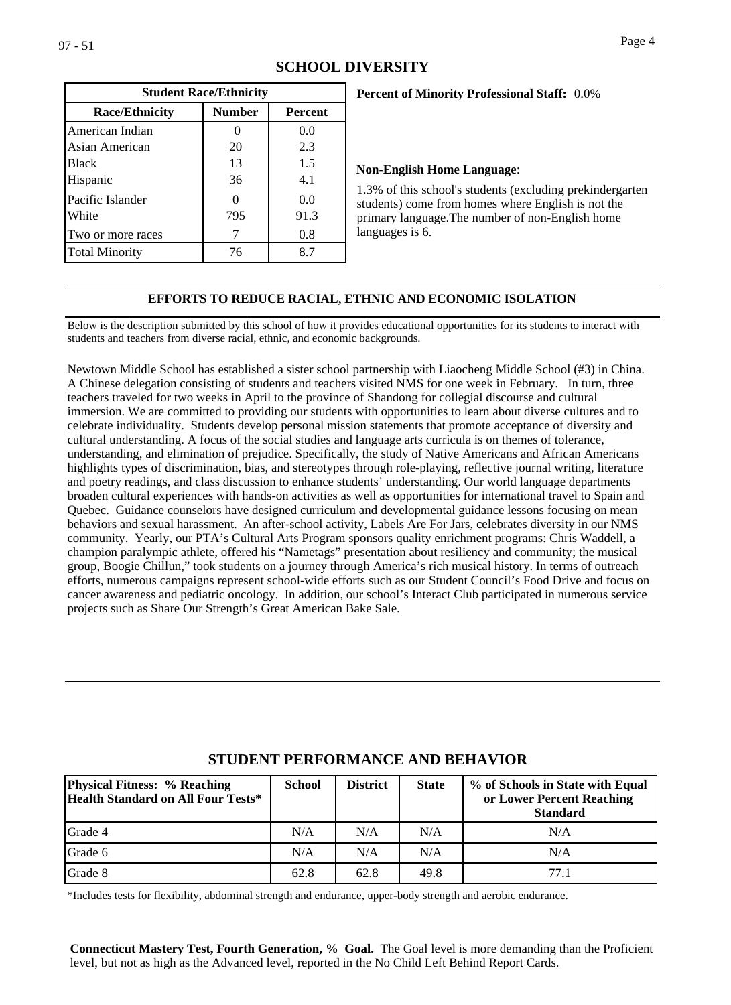| <b>Student Race/Ethnicity</b> |               |                |  |
|-------------------------------|---------------|----------------|--|
| <b>Race/Ethnicity</b>         | <b>Number</b> | <b>Percent</b> |  |
| American Indian               |               | 0.0            |  |
| Asian American                | 20            | 2.3            |  |
| Black                         | 13            | 1.5            |  |
| Hispanic                      | 36            | 4.1            |  |
| Pacific Islander              |               | 0.0            |  |
| White                         | 795           | 91.3           |  |
| Two or more races             |               | 0.8            |  |
| <b>Total Minority</b>         | 76            | 8.7            |  |

# **Percent of Minority Professional Staff:** 0.0%

#### **Non-English Home Language**:

1.3% of this school's students (excluding prekindergarten students) come from homes where English is not the primary language.The number of non-English home languages is 6.

## **EFFORTS TO REDUCE RACIAL, ETHNIC AND ECONOMIC ISOLATION**

Below is the description submitted by this school of how it provides educational opportunities for its students to interact with students and teachers from diverse racial, ethnic, and economic backgrounds.

Newtown Middle School has established a sister school partnership with Liaocheng Middle School (#3) in China. A Chinese delegation consisting of students and teachers visited NMS for one week in February. In turn, three teachers traveled for two weeks in April to the province of Shandong for collegial discourse and cultural immersion. We are committed to providing our students with opportunities to learn about diverse cultures and to celebrate individuality. Students develop personal mission statements that promote acceptance of diversity and cultural understanding. A focus of the social studies and language arts curricula is on themes of tolerance, understanding, and elimination of prejudice. Specifically, the study of Native Americans and African Americans highlights types of discrimination, bias, and stereotypes through role-playing, reflective journal writing, literature and poetry readings, and class discussion to enhance students' understanding. Our world language departments broaden cultural experiences with hands-on activities as well as opportunities for international travel to Spain and Quebec. Guidance counselors have designed curriculum and developmental guidance lessons focusing on mean behaviors and sexual harassment. An after-school activity, Labels Are For Jars, celebrates diversity in our NMS community. Yearly, our PTA's Cultural Arts Program sponsors quality enrichment programs: Chris Waddell, a champion paralympic athlete, offered his "Nametags" presentation about resiliency and community; the musical group, Boogie Chillun," took students on a journey through America's rich musical history. In terms of outreach efforts, numerous campaigns represent school-wide efforts such as our Student Council's Food Drive and focus on cancer awareness and pediatric oncology. In addition, our school's Interact Club participated in numerous service projects such as Share Our Strength's Great American Bake Sale.

| <b>Physical Fitness: % Reaching</b><br>Health Standard on All Four Tests* | <b>School</b> | <b>District</b> | <b>State</b> | % of Schools in State with Equal<br>or Lower Percent Reaching<br><b>Standard</b> |
|---------------------------------------------------------------------------|---------------|-----------------|--------------|----------------------------------------------------------------------------------|
| Grade 4                                                                   | N/A           | N/A             | N/A          | N/A                                                                              |
| Grade 6                                                                   | N/A           | N/A             | N/A          | N/A                                                                              |
| Grade 8                                                                   | 62.8          | 62.8            | 49.8         | 77.1                                                                             |

# **STUDENT PERFORMANCE AND BEHAVIOR**

\*Includes tests for flexibility, abdominal strength and endurance, upper-body strength and aerobic endurance.

**Connecticut Mastery Test, Fourth Generation, % Goal.** The Goal level is more demanding than the Proficient level, but not as high as the Advanced level, reported in the No Child Left Behind Report Cards.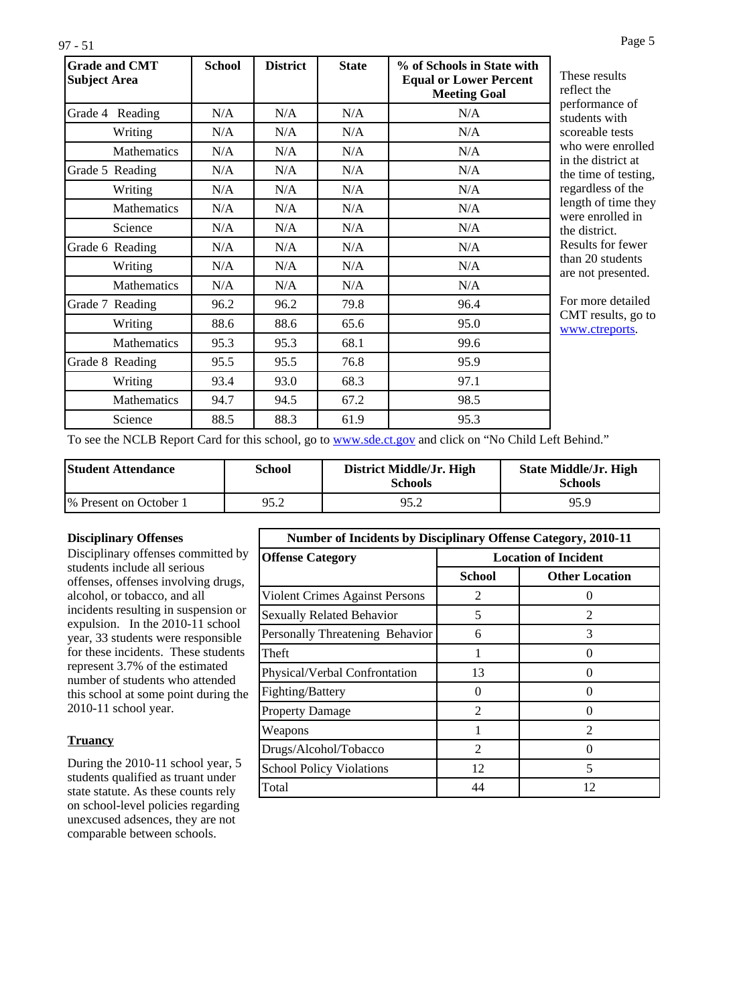| I<br>×<br>۰.<br>٧ |  |  |  |
|-------------------|--|--|--|
|-------------------|--|--|--|

| <b>Grade and CMT</b><br><b>Subject Area</b> | <b>School</b> | <b>District</b> | <b>State</b> | % of Schools in State with<br><b>Equal or Lower Percent</b><br><b>Meeting Goal</b> |
|---------------------------------------------|---------------|-----------------|--------------|------------------------------------------------------------------------------------|
| Grade 4 Reading                             | N/A           | N/A             | N/A          | N/A                                                                                |
| Writing                                     | N/A           | N/A             | N/A          | N/A                                                                                |
| <b>Mathematics</b>                          | N/A           | N/A             | N/A          | N/A                                                                                |
| Grade 5 Reading                             | N/A           | N/A             | N/A          | N/A                                                                                |
| Writing                                     | N/A           | N/A             | N/A          | N/A                                                                                |
| <b>Mathematics</b>                          | N/A           | N/A             | N/A          | N/A                                                                                |
| Science                                     | N/A           | N/A             | N/A          | N/A                                                                                |
| Grade 6 Reading                             | N/A           | N/A             | N/A          | N/A                                                                                |
| Writing                                     | N/A           | N/A             | N/A          | N/A                                                                                |
| <b>Mathematics</b>                          | N/A           | N/A             | N/A          | N/A                                                                                |
| Grade 7 Reading                             | 96.2          | 96.2            | 79.8         | 96.4                                                                               |
| Writing                                     | 88.6          | 88.6            | 65.6         | 95.0                                                                               |
| Mathematics                                 | 95.3          | 95.3            | 68.1         | 99.6                                                                               |
| Grade 8 Reading                             | 95.5          | 95.5            | 76.8         | 95.9                                                                               |
| Writing                                     | 93.4          | 93.0            | 68.3         | 97.1                                                                               |
| Mathematics                                 | 94.7          | 94.5            | 67.2         | 98.5                                                                               |
| Science                                     | 88.5          | 88.3            | 61.9         | 95.3                                                                               |

results the nance of is with ble tests ere enrolled listrict at e of testing, ess of the of time they nrolled in trict. for fewer students presented.

re detailed esults, go to treports.

To see the NCLB Report Card for this school, go to [www.sde.ct.gov](http://www.sde.ct.gov/) and click on "No Child Left Behind."

| <b>Student Attendance</b> | School | District Middle/Jr. High<br><b>Schools</b> | State Middle/Jr. High<br><b>Schools</b> |
|---------------------------|--------|--------------------------------------------|-----------------------------------------|
| % Present on October 1    | 95.2   | 95.2                                       | 95.9                                    |

#### **Disciplinary Offenses**

Disciplinary offenses committed by students include all serious offenses, offenses involving drugs, alcohol, or tobacco, and all incidents resulting in suspension or expulsion. In the 2010-11 school year, 33 students were responsible for these incidents. These students represent 3.7% of the estimated number of students who attended this school at some point during the 2010-11 school year.

# **Truancy**

During the 2010-11 school year, 5 students qualified as truant under state statute. As these counts rely on school-level policies regarding unexcused adsences, they are not comparable between schools.

| Number of Incidents by Disciplinary Offense Category, 2010-11 |                             |                             |  |  |  |
|---------------------------------------------------------------|-----------------------------|-----------------------------|--|--|--|
| <b>Offense Category</b>                                       | <b>Location of Incident</b> |                             |  |  |  |
|                                                               | <b>School</b>               | <b>Other Location</b>       |  |  |  |
| Violent Crimes Against Persons                                | $\mathfrak{D}$              |                             |  |  |  |
| Sexually Related Behavior                                     | 5                           | 2                           |  |  |  |
| Personally Threatening Behavior                               | 6                           | 3                           |  |  |  |
| Theft                                                         | 1                           | $\Omega$                    |  |  |  |
| Physical/Verbal Confrontation                                 | 13                          | $\Omega$                    |  |  |  |
| Fighting/Battery                                              | 0                           | ∩                           |  |  |  |
| <b>Property Damage</b>                                        | $\mathfrak{D}$              | $\Omega$                    |  |  |  |
| Weapons                                                       |                             | $\mathcal{D}_{\mathcal{L}}$ |  |  |  |
| Drugs/Alcohol/Tobacco                                         | 2                           |                             |  |  |  |
| <b>School Policy Violations</b>                               | 12                          | 5                           |  |  |  |
| Total                                                         | 44                          | 12                          |  |  |  |